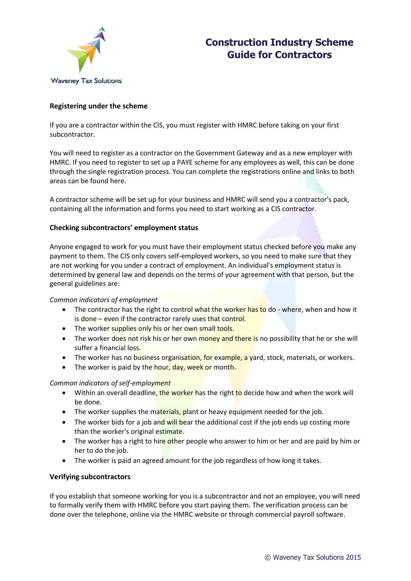

### **Construction Industry Scheme Guide for Contractors**

### **Registering under the scheme**

If you are a contractor within the CIS, you must register with HMRC before taking on your first subcontractor.

You will need to register as a contractor on the Government Gateway and as a new employer with HMRC. If you need to register to set up a PAYE scheme for any employees as well, this can be done through the single registration process. You can complete the registrations online and links to both areas can be found here.

A contractor scheme will be set up for your business and HMRC will send you a contractor's pack, containing all the information and forms you need to start working as a CIS contractor.

### **Checking subcontractors' employment status**

Anyone engaged to work for you must have their employment status checked before you make any payment to them. The CIS only covers self-employed workers, so you need to make sure that they are not working for you under a contract of employment. An individual's employment status is determined by general law and depends on the terms of your agreement with that person, but the general guidelines are:

### *Common indicators of employment*

- The contractor has the right to control what the worker has to do where, when and how it is done – even if the contractor rarely uses that control.
- The worker supplies only his or her own small tools.
- The worker does not risk his or her own money and there is no possibility that he or she will suffer a financial loss.
- The worker has no business organisation, for example, a yard, stock, materials, or workers.
- The worker is paid by the hour, day, week or month.

### *Common indicators of self-employment*

- Within an overall deadline, the worker has the right to decide how and when the work will be done.
- The worker supplies the materials, plant or heavy equipment needed for the job.
- The worker bids for a job and will bear the additional cost if the job ends up costing more than the worker's original estimate.
- The worker has a right to hire other people who answer to him or her and are paid by him or her to do the job.
- The worker is paid an agreed amount for the job regardless of how long it takes.

### **Verifying subcontractors**

If you establish that someone working for you is a subcontractor and not an employee, you will need to formally verify them with HMRC before you start paying them. The verification process can be done over the telephone, online via the HMRC website or through commercial payroll software.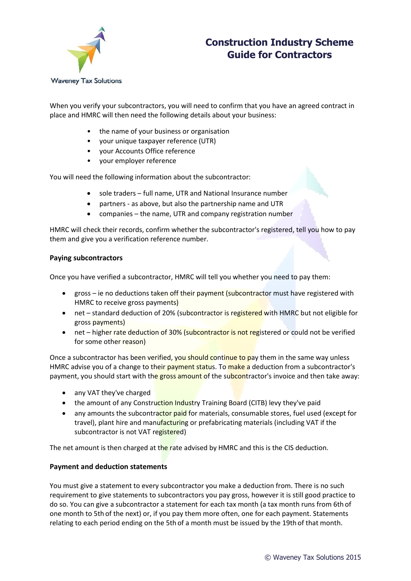

# **Construction Industry Scheme Guide for Contractors**

When you verify your subcontractors, you will need to confirm that you have an agreed contract in place and HMRC will then need the following details about your business:

- the name of your business or organisation
- your unique taxpayer reference (UTR)
- your Accounts Office reference
- your employer reference

You will need the following information about the subcontractor:

- sole traders full name, UTR and National Insurance number
- partners as above, but also the partnership name and UTR
- companies the name, UTR and company registration number

HMRC will check their records, confirm whether the subcontractor's registered, tell you how to pay them and give you a verification reference number.

### **Paying subcontractors**

Once you have verified a subcontractor, HMRC will tell you whether you need to pay them:

- gross ie no deductions taken off their payment (subcontractor must have registered with HMRC to receive gross payments)
- net standard deduction of 20% (subcontractor is registered with HMRC but not eligible for gross payments)
- net higher rate deduction of 30% (subcontractor is not registered or could not be verified for some other reason)

Once a subcontractor has been verified, you should continue to pay them in the same way unless HMRC advise you of a change to their payment status. To make a deduction from a subcontractor's payment, you should start with the gross amount of the subcontractor's invoice and then take away:

- any VAT they've charged
- the amount of any Construction Industry Training Board (CITB) levy they've paid
- any amounts the subcontractor paid for materials, consumable stores, fuel used (except for travel), plant hire and manufacturing or prefabricating materials (including VAT if the subcontractor is not VAT registered)

The net amount is then charged at the rate advised by HMRC and this is the CIS deduction.

### **Payment and deduction statements**

You must give a statement to every subcontractor you make a deduction from. There is no such requirement to give statements to subcontractors you pay gross, however it is still good practice to do so. You can give a subcontractor a statement for each tax month (a tax month runs from 6th of one month to 5th of the next) or, if you pay them more often, one for each payment. Statements relating to each period ending on the 5th of a month must be issued by the 19thof that month.